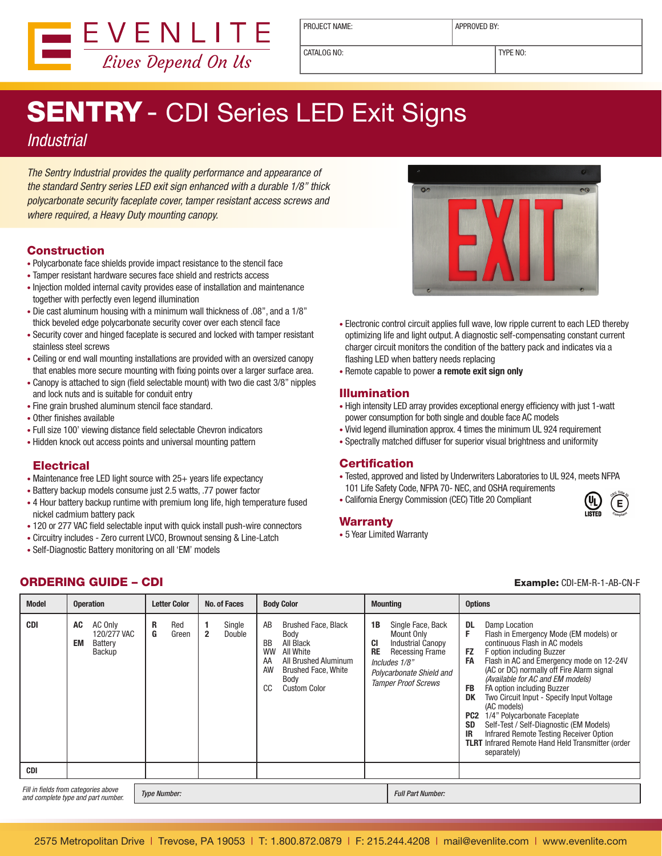

PROJECT NAME: <br> APPROVED BY:

CATALOG NO: TYPE NO:

# **SENTRY** - CDI Series LED Exit Signs

### **Industrial**

The Sentry Industrial provides the quality performance and appearance of the standard Sentry series LED exit sign enhanced with a durable 1/8" thick polycarbonate security faceplate cover, tamper resistant access screws and where required, a Heavy Duty mounting canopy.

#### Construction

- Polycarbonate face shields provide impact resistance to the stencil face
- Tamper resistant hardware secures face shield and restricts access
- Injection molded internal cavity provides ease of installation and maintenance together with perfectly even legend illumination
- Die cast aluminum housing with a minimum wall thickness of .08", and a 1/8" thick beveled edge polycarbonate security cover over each stencil face
- Security cover and hinged faceplate is secured and locked with tamper resistant stainless steel screws
- • Ceiling or end wall mounting installations are provided with an oversized canopy that enables more secure mounting with fixing points over a larger surface area.
- Canopy is attached to sign (field selectable mount) with two die cast 3/8" nipples and lock nuts and is suitable for conduit entry
- Fine grain brushed aluminum stencil face standard.
- Other finishes available
- Full size 100' viewing distance field selectable Chevron indicators
- Hidden knock out access points and universal mounting pattern

#### **Electrical**

- Maintenance free LED light source with 25+ years life expectancy
- Battery backup models consume just 2.5 watts, .77 power factor
- 4 Hour battery backup runtime with premium long life, high temperature fused nickel cadmium battery pack
- 120 or 277 VAC field selectable input with quick install push-wire connectors
- Circuitry includes Zero current LVCO, Brownout sensing & Line-Latch
- • Self-Diagnostic Battery monitoring on all 'EM' models



- Electronic control circuit applies full wave, low ripple current to each LED thereby optimizing life and light output. A diagnostic self-compensating constant current charger circuit monitors the condition of the battery pack and indicates via a flashing LED when battery needs replacing
- • Remote capable to power **a remote exit sign only**

#### Illumination

- High intensity LED array provides exceptional energy efficiency with just 1-watt power consumption for both single and double face AC models
- • Vivid legend illumination approx. 4 times the minimum UL 924 requirement
- Spectrally matched diffuser for superior visual brightness and uniformity

#### **Certification**

- Tested, approved and listed by Underwriters Laboratories to UL 924, meets NFPA 101 Life Safety Code, NFPA 70- NEC, and OSHA requirements
- • California Energy Commission (CEC) Title 20 Compliant

#### Warranty

• 5 Year Limited Warranty



#### ORDERING GUIDE – CDI

| <b>Example: CDI-EM-R-1-AB-CN-F</b> |  |  |  |
|------------------------------------|--|--|--|

| <b>Model</b> | <b>Operation</b>                                                           | <b>No. of Faces</b><br><b>Letter Color</b> | <b>Body Color</b>                                                                                                                                                                                         | <b>Mounting</b>                                                                                                                                                                           | <b>Options</b>                                                                                                                                                                                                                                                                                                                                                                                                                                                                                                                                                                                                                                            |
|--------------|----------------------------------------------------------------------------|--------------------------------------------|-----------------------------------------------------------------------------------------------------------------------------------------------------------------------------------------------------------|-------------------------------------------------------------------------------------------------------------------------------------------------------------------------------------------|-----------------------------------------------------------------------------------------------------------------------------------------------------------------------------------------------------------------------------------------------------------------------------------------------------------------------------------------------------------------------------------------------------------------------------------------------------------------------------------------------------------------------------------------------------------------------------------------------------------------------------------------------------------|
| <b>CDI</b>   | AC Only<br>AC<br>120/277 VAC<br>EM<br>Battery<br>Backup                    | R<br>Red<br>G<br>$\mathbf{2}$<br>Green     | Single<br>AB<br><b>Brushed Face, Black</b><br>Double<br>Body<br>BB<br>All Black<br>All White<br><b>WW</b><br>All Brushed Aluminum<br>AA<br>AW<br><b>Brushed Face, White</b><br>Body<br>CC<br>Custom Color | 1B<br>Single Face, Back<br>Mount Only<br>CI<br><b>Industrial Canopy</b><br><b>RE</b><br><b>Recessing Frame</b><br>Includes 1/8"<br>Polycarbonate Shield and<br><b>Tamper Proof Screws</b> | <b>DL</b><br>Damp Location<br>F<br>Flash in Emergency Mode (EM models) or<br>continuous Flash in AC models<br><b>FZ</b><br>F option including Buzzer<br>Flash in AC and Emergency mode on 12-24V<br><b>FA</b><br>(AC or DC) normally off Fire Alarm signal<br>(Available for AC and EM models)<br><b>FB</b><br>FA option including Buzzer<br>DK<br>Two Circuit Input - Specify Input Voltage<br>(AC models)<br>PC <sub>2</sub><br>1/4" Polycarbonate Faceplate<br>Self-Test / Self-Diagnostic (EM Models)<br><b>SD</b><br><b>IR</b><br>Infrared Remote Testing Receiver Option<br><b>TLRT</b> Infrared Remote Hand Held Transmitter (order<br>separately) |
| <b>CDI</b>   |                                                                            |                                            |                                                                                                                                                                                                           |                                                                                                                                                                                           |                                                                                                                                                                                                                                                                                                                                                                                                                                                                                                                                                                                                                                                           |
|              | Fill in fields from categories above<br>and complete type and part number. | <b>Type Number:</b>                        |                                                                                                                                                                                                           | <b>Full Part Number:</b>                                                                                                                                                                  |                                                                                                                                                                                                                                                                                                                                                                                                                                                                                                                                                                                                                                                           |